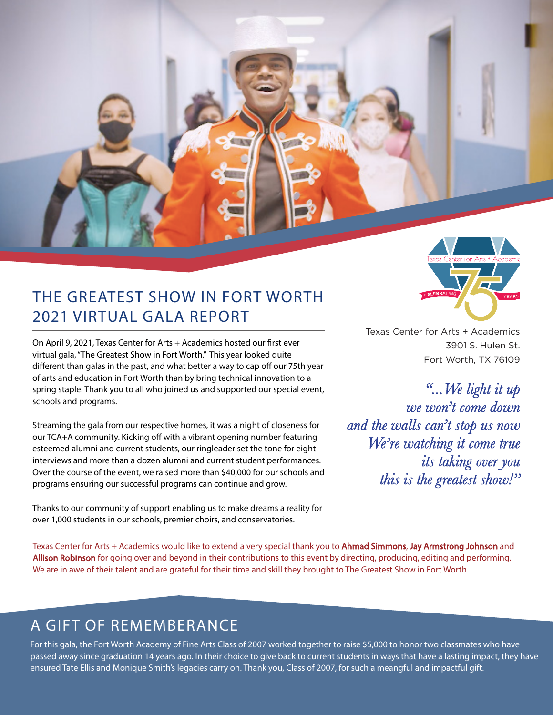

On April 9, 2021, Texas Center for Arts + Academics hosted our first ever virtual gala, "The Greatest Show in Fort Worth." This year looked quite different than galas in the past, and what better a way to cap off our 75th year of arts and education in Fort Worth than by bring technical innovation to a spring staple! Thank you to all who joined us and supported our special event, schools and programs.

Streaming the gala from our respective homes, it was a night of closeness for our TCA+A community. Kicking off with a vibrant opening number featuring esteemed alumni and current students, our ringleader set the tone for eight interviews and more than a dozen alumni and current student performances. Over the course of the event, we raised more than \$40,000 for our schools and programs ensuring our successful programs can continue and grow.

Thanks to our community of support enabling us to make dreams a reality for over 1,000 students in our schools, premier choirs, and conservatories.



Texas Center for Arts + Academics 3901 S. Hulen St. Fort Worth, TX 76109

*"...We light it up we won't come down and the walls can't stop us now We're watching it come true its taking over you this is the greatest show!"*

Texas Center for Arts + Academics would like to extend a very special thank you to Ahmad Simmons, Jay Armstrong Johnson and Allison Robinson for going over and beyond in their contributions to this event by directing, producing, editing and performing. We are in awe of their talent and are grateful for their time and skill they brought to The Greatest Show in Fort Worth.

## A GIFT OF REMEMBERANCE

For this gala, the Fort Worth Academy of Fine Arts Class of 2007 worked together to raise \$5,000 to honor two classmates who have passed away since graduation 14 years ago. In their choice to give back to current students in ways that have a lasting impact, they have ensured Tate Ellis and Monique Smith's legacies carry on. Thank you, Class of 2007, for such a meangful and impactful gift.